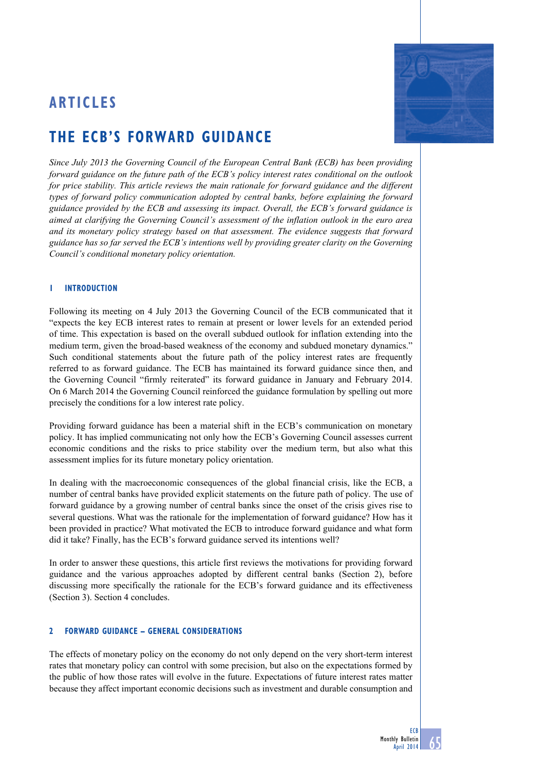## **ARTICLES**



# **The ecb's forward guidance**

*Since July 2013 the Governing Council of the European Central Bank (ECB) has been providing forward guidance on the future path of the ECB's policy interest rates conditional on the outlook for price stability. This article reviews the main rationale for forward guidance and the different types of forward policy communication adopted by central banks, before explaining the forward guidance provided by the ECB and assessing its impact. Overall, the ECB's forward guidance is aimed at clarifying the Governing Council's assessment of the inflation outlook in the euro area and its monetary policy strategy based on that assessment. The evidence suggests that forward guidance has so far served the ECB's intentions well by providing greater clarity on the Governing Council's conditional monetary policy orientation.* 

## **1 Introduction**

Following its meeting on 4 July 2013 the Governing Council of the ECB communicated that it "expects the key ECB interest rates to remain at present or lower levels for an extended period of time. This expectation is based on the overall subdued outlook for inflation extending into the medium term, given the broad-based weakness of the economy and subdued monetary dynamics." Such conditional statements about the future path of the policy interest rates are frequently referred to as forward guidance. The ECB has maintained its forward guidance since then, and the Governing Council "firmly reiterated" its forward guidance in January and February 2014. On 6 March 2014 the Governing Council reinforced the guidance formulation by spelling out more precisely the conditions for a low interest rate policy.

Providing forward guidance has been a material shift in the ECB's communication on monetary policy. It has implied communicating not only how the ECB's Governing Council assesses current economic conditions and the risks to price stability over the medium term, but also what this assessment implies for its future monetary policy orientation.

In dealing with the macroeconomic consequences of the global financial crisis, like the ECB, a number of central banks have provided explicit statements on the future path of policy. The use of forward guidance by a growing number of central banks since the onset of the crisis gives rise to several questions. What was the rationale for the implementation of forward guidance? How has it been provided in practice? What motivated the ECB to introduce forward guidance and what form did it take? Finally, has the ECB's forward guidance served its intentions well?

In order to answer these questions, this article first reviews the motivations for providing forward guidance and the various approaches adopted by different central banks (Section 2), before discussing more specifically the rationale for the ECB's forward guidance and its effectiveness (Section 3). Section 4 concludes.

## **2 Forward guidance – general considerations**

The effects of monetary policy on the economy do not only depend on the very short-term interest rates that monetary policy can control with some precision, but also on the expectations formed by the public of how those rates will evolve in the future. Expectations of future interest rates matter because they affect important economic decisions such as investment and durable consumption and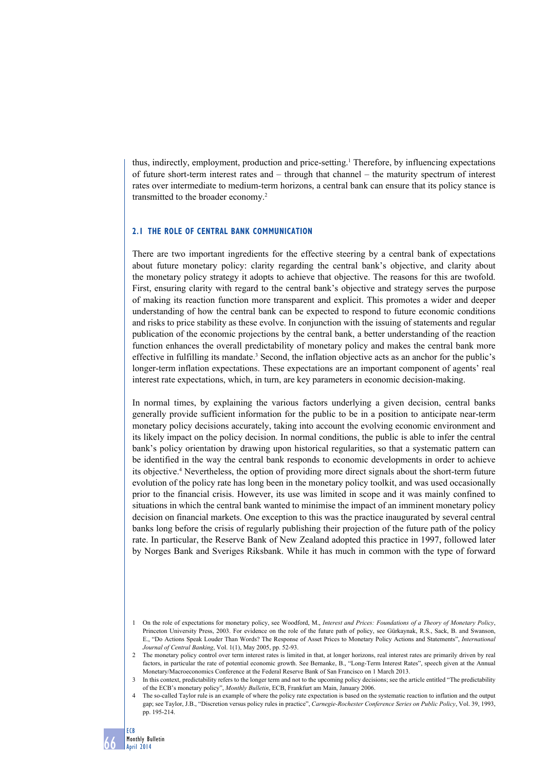thus, indirectly, employment, production and price-setting.<sup>1</sup> Therefore, by influencing expectations of future short-term interest rates and – through that channel – the maturity spectrum of interest rates over intermediate to medium-term horizons, a central bank can ensure that its policy stance is transmitted to the broader economy.2

#### **2.1 The role of central bank communication**

There are two important ingredients for the effective steering by a central bank of expectations about future monetary policy: clarity regarding the central bank's objective, and clarity about the monetary policy strategy it adopts to achieve that objective. The reasons for this are twofold. First, ensuring clarity with regard to the central bank's objective and strategy serves the purpose of making its reaction function more transparent and explicit. This promotes a wider and deeper understanding of how the central bank can be expected to respond to future economic conditions and risks to price stability as these evolve. In conjunction with the issuing of statements and regular publication of the economic projections by the central bank, a better understanding of the reaction function enhances the overall predictability of monetary policy and makes the central bank more effective in fulfilling its mandate.<sup>3</sup> Second, the inflation objective acts as an anchor for the public's longer-term inflation expectations. These expectations are an important component of agents' real interest rate expectations, which, in turn, are key parameters in economic decision-making.

In normal times, by explaining the various factors underlying a given decision, central banks generally provide sufficient information for the public to be in a position to anticipate near-term monetary policy decisions accurately, taking into account the evolving economic environment and its likely impact on the policy decision. In normal conditions, the public is able to infer the central bank's policy orientation by drawing upon historical regularities, so that a systematic pattern can be identified in the way the central bank responds to economic developments in order to achieve its objective.4 Nevertheless, the option of providing more direct signals about the short-term future evolution of the policy rate has long been in the monetary policy toolkit, and was used occasionally prior to the financial crisis. However, its use was limited in scope and it was mainly confined to situations in which the central bank wanted to minimise the impact of an imminent monetary policy decision on financial markets. One exception to this was the practice inaugurated by several central banks long before the crisis of regularly publishing their projection of the future path of the policy rate. In particular, the Reserve Bank of New Zealand adopted this practice in 1997, followed later by Norges Bank and Sveriges Riksbank. While it has much in common with the type of forward

<sup>1</sup> On the role of expectations for monetary policy, see Woodford, M., *Interest and Prices: Foundations of a Theory of Monetary Policy*, Princeton University Press, 2003. For evidence on the role of the future path of policy, see Gürkaynak, R.S., Sack, B. and Swanson, E., "Do Actions Speak Louder Than Words? The Response of Asset Prices to Monetary Policy Actions and Statements", *International Journal of Central Banking*, Vol. 1(1), May 2005, pp. 52-93.

<sup>2</sup> The monetary policy control over term interest rates is limited in that, at longer horizons, real interest rates are primarily driven by real factors, in particular the rate of potential economic growth. See Bernanke, B., "Long-Term Interest Rates", speech given at the Annual Monetary/Macroeconomics Conference at the Federal Reserve Bank of San Francisco on 1 March 2013.

<sup>3</sup> In this context, predictability refers to the longer term and not to the upcoming policy decisions; see the article entitled "The predictability of the ECB's monetary policy", *Monthly Bulletin*, ECB, Frankfurt am Main, January 2006.

<sup>4</sup> The so-called Taylor rule is an example of where the policy rate expectation is based on the systematic reaction to inflation and the output gap; see Taylor, J.B., "Discretion versus policy rules in practice", *Carnegie-Rochester Conference Series on Public Policy*, Vol. 39, 1993, pp. 195-214.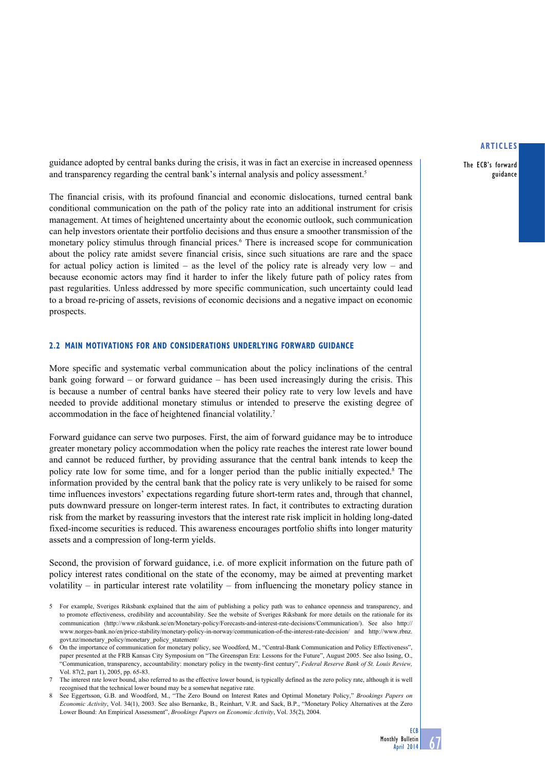The ECB's forward guidance

guidance adopted by central banks during the crisis, it was in fact an exercise in increased openness and transparency regarding the central bank's internal analysis and policy assessment.<sup>5</sup>

The financial crisis, with its profound financial and economic dislocations, turned central bank conditional communication on the path of the policy rate into an additional instrument for crisis management. At times of heightened uncertainty about the economic outlook, such communication can help investors orientate their portfolio decisions and thus ensure a smoother transmission of the monetary policy stimulus through financial prices.<sup>6</sup> There is increased scope for communication about the policy rate amidst severe financial crisis, since such situations are rare and the space for actual policy action is limited – as the level of the policy rate is already very low – and because economic actors may find it harder to infer the likely future path of policy rates from past regularities. Unless addressed by more specific communication, such uncertainty could lead to a broad re-pricing of assets, revisions of economic decisions and a negative impact on economic prospects.

#### **2.2 Main motivations FOR and considerations underlying forward guidance**

More specific and systematic verbal communication about the policy inclinations of the central bank going forward – or forward guidance – has been used increasingly during the crisis. This is because a number of central banks have steered their policy rate to very low levels and have needed to provide additional monetary stimulus or intended to preserve the existing degree of accommodation in the face of heightened financial volatility.7

Forward guidance can serve two purposes. First, the aim of forward guidance may be to introduce greater monetary policy accommodation when the policy rate reaches the interest rate lower bound and cannot be reduced further, by providing assurance that the central bank intends to keep the policy rate low for some time, and for a longer period than the public initially expected.<sup>8</sup> The information provided by the central bank that the policy rate is very unlikely to be raised for some time influences investors' expectations regarding future short-term rates and, through that channel, puts downward pressure on longer-term interest rates. In fact, it contributes to extracting duration risk from the market by reassuring investors that the interest rate risk implicit in holding long-dated fixed-income securities is reduced. This awareness encourages portfolio shifts into longer maturity assets and a compression of long-term yields.

Second, the provision of forward guidance, i.e. of more explicit information on the future path of policy interest rates conditional on the state of the economy, may be aimed at preventing market volatility – in particular interest rate volatility – from influencing the monetary policy stance in

<sup>5</sup> For example, Sveriges Riksbank explained that the aim of publishing a policy path was to enhance openness and transparency, and to promote effectiveness, credibility and accountability. See the website of Sveriges Riksbank for more details on the rationale for its communication (http://www.riksbank.se/en/Monetary-policy/Forecasts-and-interest-rate-decisions/Communication/). See also http:// www.norges-bank.no/en/price-stability/monetary-policy-in-norway/communication-of-the-interest-rate-decision/ and http://www.rbnz. govt.nz/monetary\_policy/monetary\_policy\_statement/

<sup>6</sup> On the importance of communication for monetary policy, see Woodford, M., "Central-Bank Communication and Policy Effectiveness", paper presented at the FRB Kansas City Symposium on "The Greenspan Era: Lessons for the Future", August 2005. See also Issing, O., "Communication, transparency, accountability: monetary policy in the twenty-first century", *Federal Reserve Bank of St. Louis Review,* Vol. 87(2, part 1), 2005, pp. 65-83.

<sup>7</sup> The interest rate lower bound, also referred to as the effective lower bound, is typically defined as the zero policy rate, although it is well recognised that the technical lower bound may be a somewhat negative rate.

<sup>8</sup> See Eggertsson, G.B. and Woodford, M., "The Zero Bound on Interest Rates and Optimal Monetary Policy," *Brookings Papers on Economic Activity*, Vol. 34(1), 2003. See also Bernanke, B., Reinhart, V.R. and Sack, B.P., "Monetary Policy Alternatives at the Zero Lower Bound: An Empirical Assessment", *Brookings Papers on Economic Activity*, Vol. 35(2), 2004.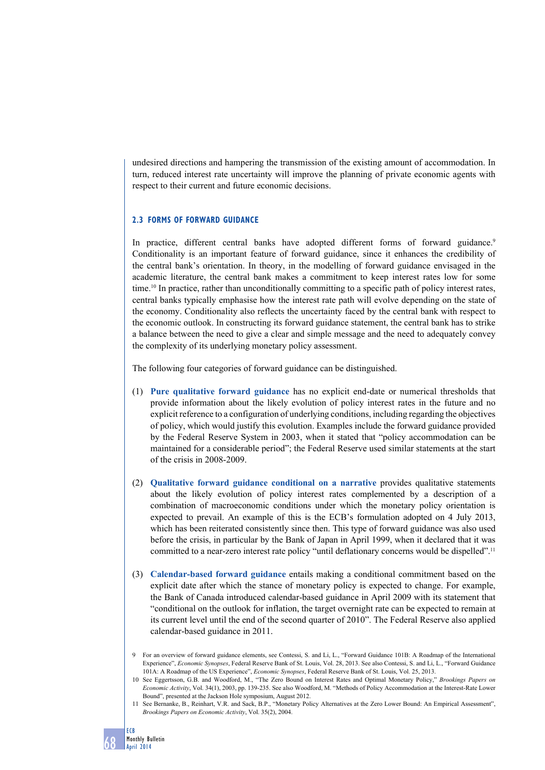undesired directions and hampering the transmission of the existing amount of accommodation. In turn, reduced interest rate uncertainty will improve the planning of private economic agents with respect to their current and future economic decisions.

## **2.3 Forms of forward guidance**

In practice, different central banks have adopted different forms of forward guidance.<sup>9</sup> Conditionality is an important feature of forward guidance, since it enhances the credibility of the central bank's orientation. In theory, in the modelling of forward guidance envisaged in the academic literature, the central bank makes a commitment to keep interest rates low for some time.10 In practice, rather than unconditionally committing to a specific path of policy interest rates, central banks typically emphasise how the interest rate path will evolve depending on the state of the economy. Conditionality also reflects the uncertainty faced by the central bank with respect to the economic outlook. In constructing its forward guidance statement, the central bank has to strike a balance between the need to give a clear and simple message and the need to adequately convey the complexity of its underlying monetary policy assessment.

The following four categories of forward guidance can be distinguished.

- (1) **Pure qualitative forward guidance** has no explicit end-date or numerical thresholds that provide information about the likely evolution of policy interest rates in the future and no explicit reference to a configuration of underlying conditions, including regarding the objectives of policy, which would justify this evolution. Examples include the forward guidance provided by the Federal Reserve System in 2003, when it stated that "policy accommodation can be maintained for a considerable period"; the Federal Reserve used similar statements at the start of the crisis in 2008-2009.
- (2) **Qualitative forward guidance conditional on a narrative** provides qualitative statements about the likely evolution of policy interest rates complemented by a description of a combination of macroeconomic conditions under which the monetary policy orientation is expected to prevail. An example of this is the ECB's formulation adopted on 4 July 2013, which has been reiterated consistently since then. This type of forward guidance was also used before the crisis, in particular by the Bank of Japan in April 1999, when it declared that it was committed to a near-zero interest rate policy "until deflationary concerns would be dispelled".<sup>11</sup>
- (3) **Calendar-based forward guidance** entails making a conditional commitment based on the explicit date after which the stance of monetary policy is expected to change. For example, the Bank of Canada introduced calendar-based guidance in April 2009 with its statement that "conditional on the outlook for inflation, the target overnight rate can be expected to remain at its current level until the end of the second quarter of 2010". The Federal Reserve also applied calendar-based guidance in 2011.
- 9 For an overview of forward guidance elements, see Contessi, S. and Li, L., "Forward Guidance 101B: A Roadmap of the International Experience", *Economic Synopses*, Federal Reserve Bank of St. Louis, Vol. 28, 2013. See also Contessi, S. and Li, L., "Forward Guidance 101A: A Roadmap of the US Experience", *Economic Synopses*, Federal Reserve Bank of St. Louis, Vol. 25, 2013.
- 10 See Eggertsson, G.B. and Woodford, M., "The Zero Bound on Interest Rates and Optimal Monetary Policy," *Brookings Papers on Economic Activity*, Vol. 34(1), 2003, pp. 139-235. See also Woodford, M. "Methods of Policy Accommodation at the Interest-Rate Lower Bound", presented at the Jackson Hole symposium, August 2012.
- 11 See Bernanke, B., Reinhart, V.R. and Sack, B.P., "Monetary Policy Alternatives at the Zero Lower Bound: An Empirical Assessment", *Brookings Papers on Economic Activity*, Vol. 35(2), 2004.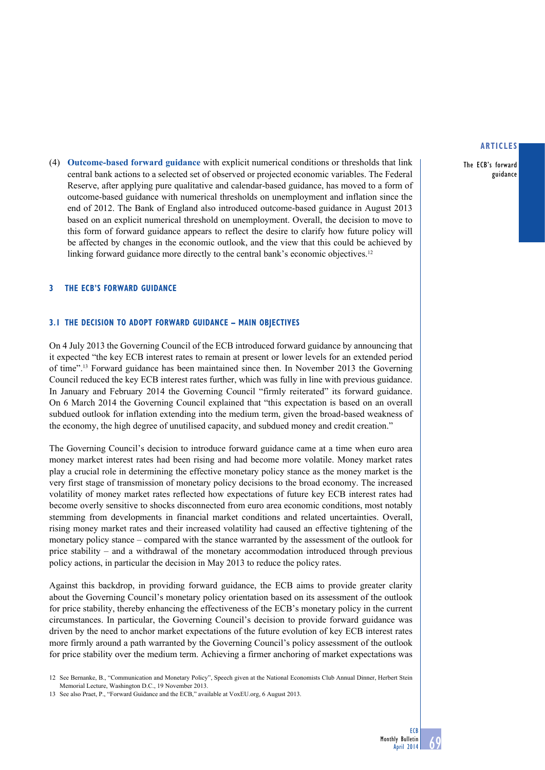The ECB's forward guidance

(4) **Outcome-based forward guidance** with explicit numerical conditions or thresholds that link central bank actions to a selected set of observed or projected economic variables. The Federal Reserve, after applying pure qualitative and calendar-based guidance, has moved to a form of outcome-based guidance with numerical thresholds on unemployment and inflation since the end of 2012. The Bank of England also introduced outcome-based guidance in August 2013 based on an explicit numerical threshold on unemployment. Overall, the decision to move to this form of forward guidance appears to reflect the desire to clarify how future policy will be affected by changes in the economic outlook, and the view that this could be achieved by linking forward guidance more directly to the central bank's economic objectives.<sup>12</sup>

#### **3 The ECB's forward guidance**

#### **3.1 the decision to adopt forward guidance – main objectives**

On 4 July 2013 the Governing Council of the ECB introduced forward guidance by announcing that it expected "the key ECB interest rates to remain at present or lower levels for an extended period of time".13 Forward guidance has been maintained since then. In November 2013 the Governing Council reduced the key ECB interest rates further, which was fully in line with previous guidance. In January and February 2014 the Governing Council "firmly reiterated" its forward guidance. On 6 March 2014 the Governing Council explained that "this expectation is based on an overall subdued outlook for inflation extending into the medium term, given the broad-based weakness of the economy, the high degree of unutilised capacity, and subdued money and credit creation."

The Governing Council's decision to introduce forward guidance came at a time when euro area money market interest rates had been rising and had become more volatile. Money market rates play a crucial role in determining the effective monetary policy stance as the money market is the very first stage of transmission of monetary policy decisions to the broad economy. The increased volatility of money market rates reflected how expectations of future key ECB interest rates had become overly sensitive to shocks disconnected from euro area economic conditions, most notably stemming from developments in financial market conditions and related uncertainties. Overall, rising money market rates and their increased volatility had caused an effective tightening of the monetary policy stance – compared with the stance warranted by the assessment of the outlook for price stability – and a withdrawal of the monetary accommodation introduced through previous policy actions, in particular the decision in May 2013 to reduce the policy rates.

Against this backdrop, in providing forward guidance, the ECB aims to provide greater clarity about the Governing Council's monetary policy orientation based on its assessment of the outlook for price stability, thereby enhancing the effectiveness of the ECB's monetary policy in the current circumstances. In particular, the Governing Council's decision to provide forward guidance was driven by the need to anchor market expectations of the future evolution of key ECB interest rates more firmly around a path warranted by the Governing Council's policy assessment of the outlook for price stability over the medium term. Achieving a firmer anchoring of market expectations was

12 See Bernanke, B., "Communication and Monetary Policy", Speech given at the National Economists Club Annual Dinner, Herbert Stein Memorial Lecture, Washington D.C., 19 November 2013.

13 See also Praet, P., "Forward Guidance and the ECB," available at VoxEU.org, 6 August 2013.

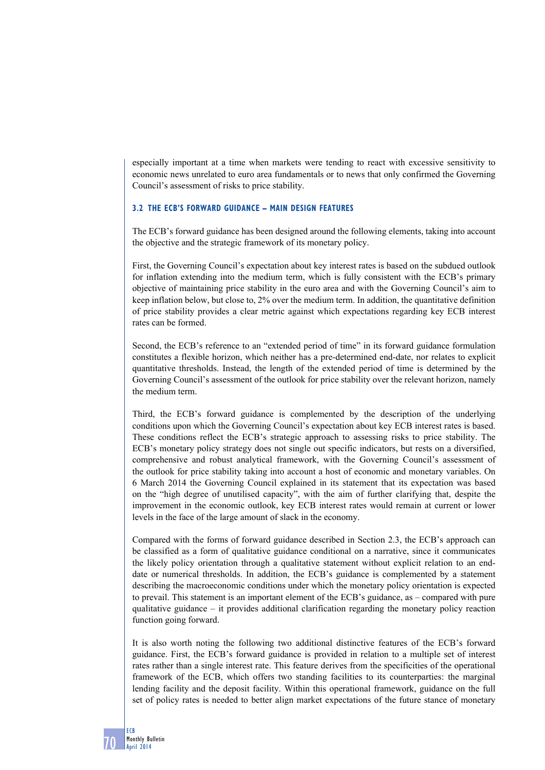especially important at a time when markets were tending to react with excessive sensitivity to economic news unrelated to euro area fundamentals or to news that only confirmed the Governing Council's assessment of risks to price stability.

## **3.2 the ECB's forward GUIDANCE – main design features**

The ECB's forward guidance has been designed around the following elements, taking into account the objective and the strategic framework of its monetary policy.

First, the Governing Council's expectation about key interest rates is based on the subdued outlook for inflation extending into the medium term, which is fully consistent with the ECB's primary objective of maintaining price stability in the euro area and with the Governing Council's aim to keep inflation below, but close to, 2% over the medium term. In addition, the quantitative definition of price stability provides a clear metric against which expectations regarding key ECB interest rates can be formed.

Second, the ECB's reference to an "extended period of time" in its forward guidance formulation constitutes a flexible horizon, which neither has a pre-determined end-date, nor relates to explicit quantitative thresholds. Instead, the length of the extended period of time is determined by the Governing Council's assessment of the outlook for price stability over the relevant horizon, namely the medium term.

Third, the ECB's forward guidance is complemented by the description of the underlying conditions upon which the Governing Council's expectation about key ECB interest rates is based. These conditions reflect the ECB's strategic approach to assessing risks to price stability. The ECB's monetary policy strategy does not single out specific indicators, but rests on a diversified, comprehensive and robust analytical framework, with the Governing Council's assessment of the outlook for price stability taking into account a host of economic and monetary variables. On 6 March 2014 the Governing Council explained in its statement that its expectation was based on the "high degree of unutilised capacity", with the aim of further clarifying that, despite the improvement in the economic outlook, key ECB interest rates would remain at current or lower levels in the face of the large amount of slack in the economy.

Compared with the forms of forward guidance described in Section 2.3, the ECB's approach can be classified as a form of qualitative guidance conditional on a narrative, since it communicates the likely policy orientation through a qualitative statement without explicit relation to an enddate or numerical thresholds. In addition, the ECB's guidance is complemented by a statement describing the macroeconomic conditions under which the monetary policy orientation is expected to prevail. This statement is an important element of the ECB's guidance, as – compared with pure qualitative guidance – it provides additional clarification regarding the monetary policy reaction function going forward.

It is also worth noting the following two additional distinctive features of the ECB's forward guidance. First, the ECB's forward guidance is provided in relation to a multiple set of interest rates rather than a single interest rate. This feature derives from the specificities of the operational framework of the ECB, which offers two standing facilities to its counterparties: the marginal lending facility and the deposit facility. Within this operational framework, guidance on the full set of policy rates is needed to better align market expectations of the future stance of monetary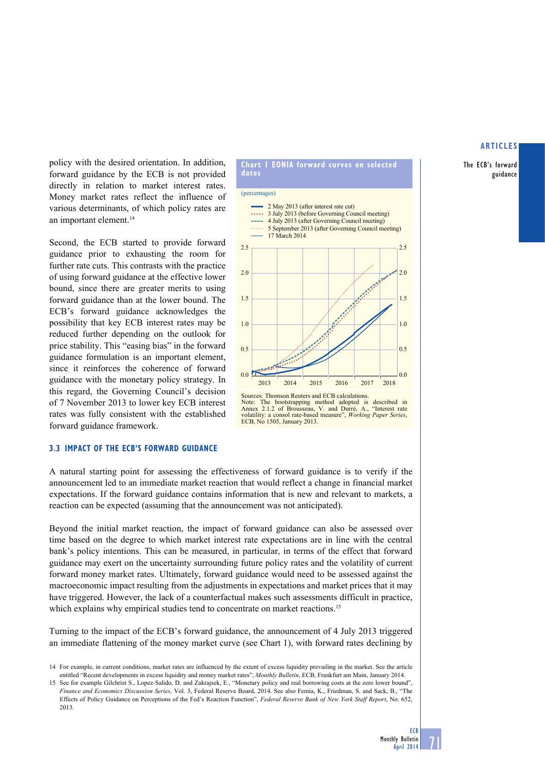The ECB's forward guidance

policy with the desired orientation. In addition, forward guidance by the ECB is not provided directly in relation to market interest rates. Money market rates reflect the influence of various determinants, of which policy rates are an important element.<sup>14</sup>

Second, the ECB started to provide forward guidance prior to exhausting the room for further rate cuts. This contrasts with the practice of using forward guidance at the effective lower bound, since there are greater merits to using forward guidance than at the lower bound. The ECB's forward guidance acknowledges the possibility that key ECB interest rates may be reduced further depending on the outlook for price stability. This "easing bias" in the forward guidance formulation is an important element, since it reinforces the coherence of forward guidance with the monetary policy strategy. In this regard, the Governing Council's decision of 7 November 2013 to lower key ECB interest rates was fully consistent with the established forward guidance framework.

#### **3.3 impact of the ecb's forward guidance**

A natural starting point for assessing the effectiveness of forward guidance is to verify if the announcement led to an immediate market reaction that would reflect a change in financial market expectations. If the forward guidance contains information that is new and relevant to markets, a reaction can be expected (assuming that the announcement was not anticipated).

Beyond the initial market reaction, the impact of forward guidance can also be assessed over time based on the degree to which market interest rate expectations are in line with the central bank's policy intentions. This can be measured, in particular, in terms of the effect that forward guidance may exert on the uncertainty surrounding future policy rates and the volatility of current forward money market rates. Ultimately, forward guidance would need to be assessed against the macroeconomic impact resulting from the adjustments in expectations and market prices that it may have triggered. However, the lack of a counterfactual makes such assessments difficult in practice, which explains why empirical studies tend to concentrate on market reactions.<sup>15</sup>

Turning to the impact of the ECB's forward guidance, the announcement of 4 July 2013 triggered an immediate flattening of the money market curve (see Chart 1), with forward rates declining by



**Chart I EONIA forward curves on selected** 

**dates**

**ECB** 

71

<sup>14</sup> For example, in current conditions, market rates are influenced by the extent of excess liquidity prevailing in the market. See the article entitled "Recent developments in excess liquidity and money market rates", *Monthly Bulletin*, ECB, Frankfurt am Main, January 2014.

<sup>15</sup> See for example Gilchrist S., Lopez-Salido, D. and Zakrajsek, E., "Monetary policy and real borrowing costs at the zero lower bound", *Finance and Economics Discussion Series,* Vol. 3, Federal Reserve Board, 2014. See also Femia, K., Friedman, S. and Sack, B., "The Effects of Policy Guidance on Perceptions of the Fed's Reaction Function", *Federal Reserve Bank of New York Staff Report*, No. 652, 2013.

Sources: Thomson Reuters and ECB calculations. Note: The bootstrapping method adopted is described in Annex 2.1.2 of Brousseau, V. and Durré, A., "Interest rate volatility: a consol rate-based measure", *Working Paper Series*, ECB, No 1505, January 2013.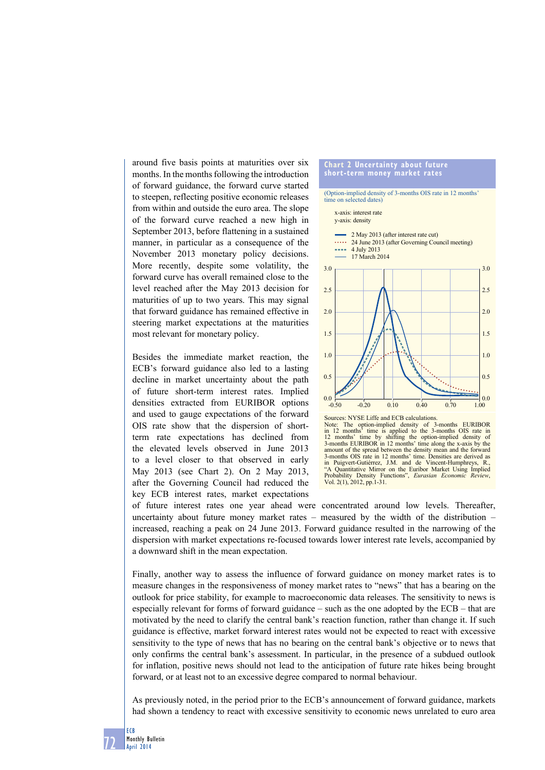around five basis points at maturities over six months. In the months following the introduction of forward guidance, the forward curve started to steepen, reflecting positive economic releases from within and outside the euro area. The slope of the forward curve reached a new high in September 2013, before flattening in a sustained manner, in particular as a consequence of the November 2013 monetary policy decisions. More recently, despite some volatility, the forward curve has overall remained close to the level reached after the May 2013 decision for maturities of up to two years. This may signal that forward guidance has remained effective in steering market expectations at the maturities most relevant for monetary policy.

Besides the immediate market reaction, the ECB's forward guidance also led to a lasting decline in market uncertainty about the path of future short-term interest rates. Implied densities extracted from EURIBOR options and used to gauge expectations of the forward OIS rate show that the dispersion of shortterm rate expectations has declined from the elevated levels observed in June 2013 to a level closer to that observed in early May 2013 (see Chart 2). On 2 May 2013, after the Governing Council had reduced the key ECB interest rates, market expectations



12 months' time by shifting the option-implied density of 3-months EURIBOR in 12 months' time along the x-axis by the amount of the spread between the density mean and the forward 3-months OIS rate in 12 months' time. Densities are derived as in Puigvert-Gutiérrez, J.M. and de Vincent-Humphreys, R., A Quantitative Mirror on the Euribor Market Using Implied Probability Density Functions", *Eurasian Economic Review*, Vol. 2(1), 2012, pp.1-31.

of future interest rates one year ahead were concentrated around low levels. Thereafter, uncertainty about future money market rates – measured by the width of the distribution – increased, reaching a peak on 24 June 2013. Forward guidance resulted in the narrowing of the dispersion with market expectations re-focused towards lower interest rate levels, accompanied by a downward shift in the mean expectation.

Finally, another way to assess the influence of forward guidance on money market rates is to measure changes in the responsiveness of money market rates to "news" that has a bearing on the outlook for price stability, for example to macroeconomic data releases. The sensitivity to news is especially relevant for forms of forward guidance – such as the one adopted by the ECB – that are motivated by the need to clarify the central bank's reaction function, rather than change it. If such guidance is effective, market forward interest rates would not be expected to react with excessive sensitivity to the type of news that has no bearing on the central bank's objective or to news that only confirms the central bank's assessment. In particular, in the presence of a subdued outlook for inflation, positive news should not lead to the anticipation of future rate hikes being brought forward, or at least not to an excessive degree compared to normal behaviour.

As previously noted, in the period prior to the ECB's announcement of forward guidance, markets had shown a tendency to react with excessive sensitivity to economic news unrelated to euro area